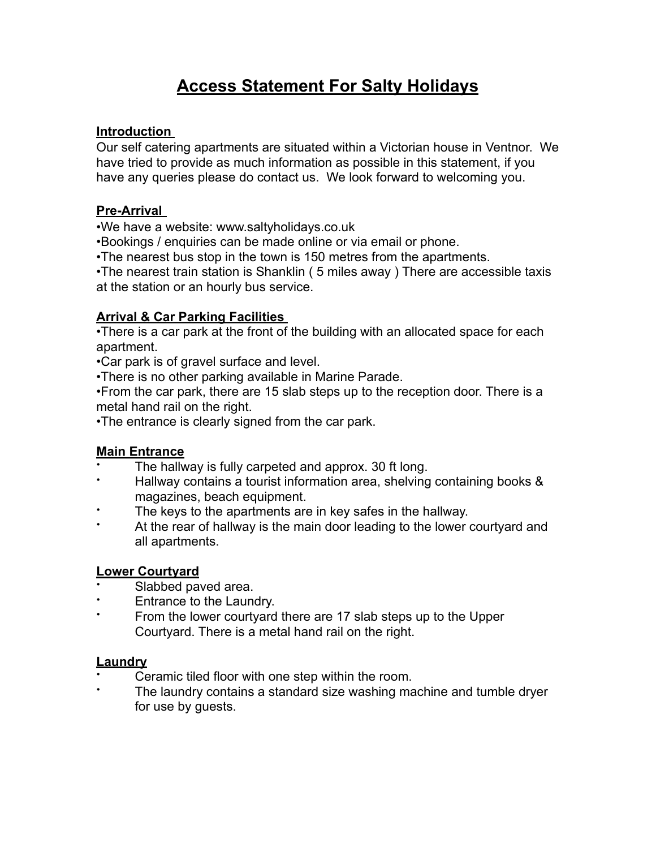# **Access Statement For Salty Holidays**

## **Introduction**

Our self catering apartments are situated within a Victorian house in Ventnor. We have tried to provide as much information as possible in this statement, if you have any queries please do contact us. We look forward to welcoming you.

## **Pre-Arrival**

•We have a website: www.saltyholidays.co.uk

•Bookings / enquiries can be made online or via email or phone.

•The nearest bus stop in the town is 150 metres from the apartments.

•The nearest train station is Shanklin ( 5 miles away ) There are accessible taxis at the station or an hourly bus service.

## **Arrival & Car Parking Facilities**

•There is a car park at the front of the building with an allocated space for each apartment.

•Car park is of gravel surface and level.

•There is no other parking available in Marine Parade.

•From the car park, there are 15 slab steps up to the reception door. There is a metal hand rail on the right.

•The entrance is clearly signed from the car park.

## **Main Entrance**

- The hallway is fully carpeted and approx. 30 ft long.
- Hallway contains a tourist information area, shelving containing books & magazines, beach equipment.
- The keys to the apartments are in key safes in the hallway.
- At the rear of hallway is the main door leading to the lower courtyard and all apartments.

## **Lower Courtyard**

- Slabbed paved area.
- Entrance to the Laundry.
- From the lower courtyard there are 17 slab steps up to the Upper Courtyard. There is a metal hand rail on the right.

#### **Laundry**

- Ceramic tiled floor with one step within the room.
- The laundry contains a standard size washing machine and tumble dryer for use by guests.